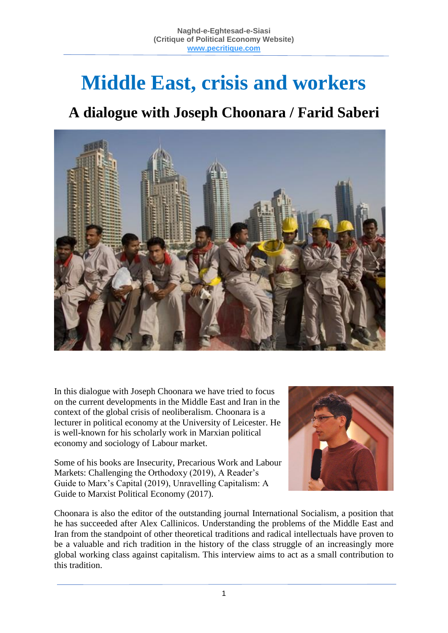# **Middle East, crisis and workers**

# **A dialogue with Joseph Choonara / Farid Saberi**



In this dialogue with Joseph Choonara we have tried to focus on the current developments in the Middle East and Iran in the context of the global crisis of neoliberalism. Choonara is a lecturer in political economy at the University of Leicester. He is well-known for his scholarly work in Marxian political economy and sociology of Labour market.

Some of his books are Insecurity, Precarious Work and Labour Markets: Challenging the Orthodoxy (2019), A Reader's Guide to Marx's Capital (2019), Unravelling Capitalism: A Guide to Marxist Political Economy (2017).



Choonara is also the editor of the outstanding journal International Socialism, a position that he has succeeded after Alex Callinicos. Understanding the problems of the Middle East and Iran from the standpoint of other theoretical traditions and radical intellectuals have proven to be a valuable and rich tradition in the history of the class struggle of an increasingly more global working class against capitalism. This interview aims to act as a small contribution to this tradition.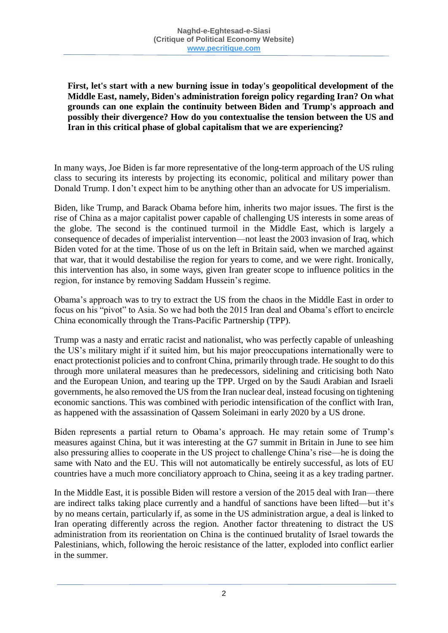**First, let's start with a new burning issue in today's geopolitical development of the Middle East, namely, Biden's administration foreign policy regarding Iran? On what grounds can one explain the continuity between Biden and Trump's approach and possibly their divergence? How do you contextualise the tension between the US and Iran in this critical phase of global capitalism that we are experiencing?**

In many ways, Joe Biden is far more representative of the long-term approach of the US ruling class to securing its interests by projecting its economic, political and military power than Donald Trump. I don't expect him to be anything other than an advocate for US imperialism.

Biden, like Trump, and Barack Obama before him, inherits two major issues. The first is the rise of China as a major capitalist power capable of challenging US interests in some areas of the globe. The second is the continued turmoil in the Middle East, which is largely a consequence of decades of imperialist intervention—not least the 2003 invasion of Iraq, which Biden voted for at the time. Those of us on the left in Britain said, when we marched against that war, that it would destabilise the region for years to come, and we were right. Ironically, this intervention has also, in some ways, given Iran greater scope to influence politics in the region, for instance by removing Saddam Hussein's regime.

Obama's approach was to try to extract the US from the chaos in the Middle East in order to focus on his "pivot" to Asia. So we had both the 2015 Iran deal and Obama's effort to encircle China economically through the Trans-Pacific Partnership (TPP).

Trump was a nasty and erratic racist and nationalist, who was perfectly capable of unleashing the US's military might if it suited him, but his major preoccupations internationally were to enact protectionist policies and to confront China, primarily through trade. He sought to do this through more unilateral measures than he predecessors, sidelining and criticising both Nato and the European Union, and tearing up the TPP. Urged on by the Saudi Arabian and Israeli governments, he also removed the US from the Iran nuclear deal, instead focusing on tightening economic sanctions. This was combined with periodic intensification of the conflict with Iran, as happened with the assassination of Qassem Soleimani in early 2020 by a US drone.

Biden represents a partial return to Obama's approach. He may retain some of Trump's measures against China, but it was interesting at the G7 summit in Britain in June to see him also pressuring allies to cooperate in the US project to challenge China's rise—he is doing the same with Nato and the EU. This will not automatically be entirely successful, as lots of EU countries have a much more conciliatory approach to China, seeing it as a key trading partner.

In the Middle East, it is possible Biden will restore a version of the 2015 deal with Iran—there are indirect talks taking place currently and a handful of sanctions have been lifted—but it's by no means certain, particularly if, as some in the US administration argue, a deal is linked to Iran operating differently across the region. Another factor threatening to distract the US administration from its reorientation on China is the continued brutality of Israel towards the Palestinians, which, following the heroic resistance of the latter, exploded into conflict earlier in the summer.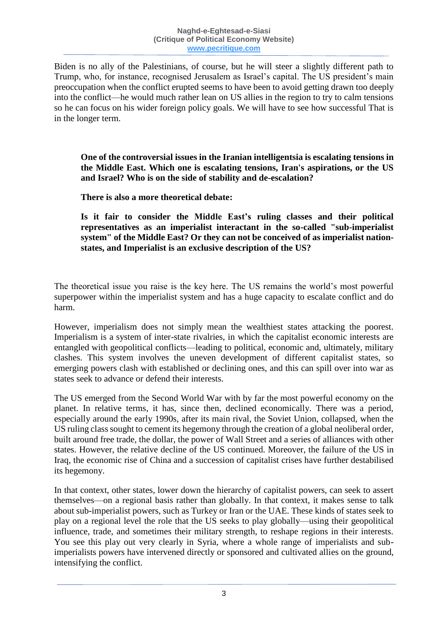Biden is no ally of the Palestinians, of course, but he will steer a slightly different path to Trump, who, for instance, recognised Jerusalem as Israel's capital. The US president's main preoccupation when the conflict erupted seems to have been to avoid getting drawn too deeply into the conflict—he would much rather lean on US allies in the region to try to calm tensions so he can focus on his wider foreign policy goals. We will have to see how successful That is in the longer term.

**One of the controversial issues in the Iranian intelligentsia is escalating tensions in the Middle East. Which one is escalating tensions, Iran's aspirations, or the US and Israel? Who is on the side of stability and de-escalation?**

**There is also a more theoretical debate:**

**Is it fair to consider the Middle East's ruling classes and their political representatives as an imperialist interactant in the so-called "sub-imperialist system" of the Middle East? Or they can not be conceived of as imperialist nationstates, and Imperialist is an exclusive description of the US?**

The theoretical issue you raise is the key here. The US remains the world's most powerful superpower within the imperialist system and has a huge capacity to escalate conflict and do harm.

However, imperialism does not simply mean the wealthiest states attacking the poorest. Imperialism is a system of inter-state rivalries, in which the capitalist economic interests are entangled with geopolitical conflicts—leading to political, economic and, ultimately, military clashes. This system involves the uneven development of different capitalist states, so emerging powers clash with established or declining ones, and this can spill over into war as states seek to advance or defend their interests.

The US emerged from the Second World War with by far the most powerful economy on the planet. In relative terms, it has, since then, declined economically. There was a period, especially around the early 1990s, after its main rival, the Soviet Union, collapsed, when the US ruling class sought to cement its hegemony through the creation of a global neoliberal order, built around free trade, the dollar, the power of Wall Street and a series of alliances with other states. However, the relative decline of the US continued. Moreover, the failure of the US in Iraq, the economic rise of China and a succession of capitalist crises have further destabilised its hegemony.

In that context, other states, lower down the hierarchy of capitalist powers, can seek to assert themselves—on a regional basis rather than globally. In that context, it makes sense to talk about sub-imperialist powers, such as Turkey or Iran or the UAE. These kinds of states seek to play on a regional level the role that the US seeks to play globally—using their geopolitical influence, trade, and sometimes their military strength, to reshape regions in their interests. You see this play out very clearly in Syria, where a whole range of imperialists and subimperialists powers have intervened directly or sponsored and cultivated allies on the ground, intensifying the conflict.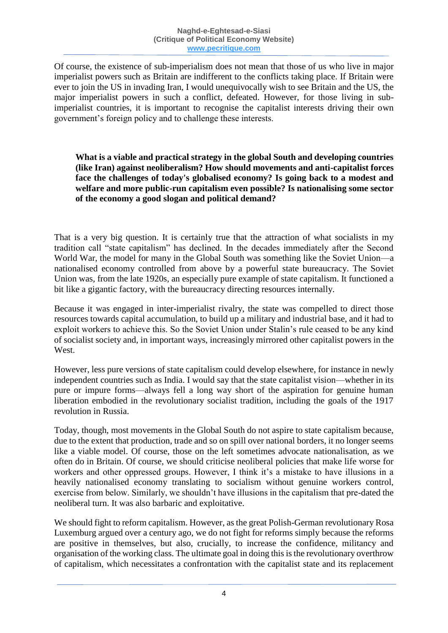Of course, the existence of sub-imperialism does not mean that those of us who live in major imperialist powers such as Britain are indifferent to the conflicts taking place. If Britain were ever to join the US in invading Iran, I would unequivocally wish to see Britain and the US, the major imperialist powers in such a conflict, defeated. However, for those living in subimperialist countries, it is important to recognise the capitalist interests driving their own government's foreign policy and to challenge these interests.

#### **What is a viable and practical strategy in the global South and developing countries (like Iran) against neoliberalism? How should movements and anti-capitalist forces face the challenges of today's globalised economy? Is going back to a modest and welfare and more public-run capitalism even possible? Is nationalising some sector of the economy a good slogan and political demand?**

That is a very big question. It is certainly true that the attraction of what socialists in my tradition call "state capitalism" has declined. In the decades immediately after the Second World War, the model for many in the Global South was something like the Soviet Union—a nationalised economy controlled from above by a powerful state bureaucracy. The Soviet Union was, from the late 1920s, an especially pure example of state capitalism. It functioned a bit like a gigantic factory, with the bureaucracy directing resources internally.

Because it was engaged in inter-imperialist rivalry, the state was compelled to direct those resources towards capital accumulation, to build up a military and industrial base, and it had to exploit workers to achieve this. So the Soviet Union under Stalin's rule ceased to be any kind of socialist society and, in important ways, increasingly mirrored other capitalist powers in the West.

However, less pure versions of state capitalism could develop elsewhere, for instance in newly independent countries such as India. I would say that the state capitalist vision—whether in its pure or impure forms—always fell a long way short of the aspiration for genuine human liberation embodied in the revolutionary socialist tradition, including the goals of the 1917 revolution in Russia.

Today, though, most movements in the Global South do not aspire to state capitalism because, due to the extent that production, trade and so on spill over national borders, it no longer seems like a viable model. Of course, those on the left sometimes advocate nationalisation, as we often do in Britain. Of course, we should criticise neoliberal policies that make life worse for workers and other oppressed groups. However, I think it's a mistake to have illusions in a heavily nationalised economy translating to socialism without genuine workers control, exercise from below. Similarly, we shouldn't have illusions in the capitalism that pre-dated the neoliberal turn. It was also barbaric and exploitative.

We should fight to reform capitalism. However, as the great Polish-German revolutionary Rosa Luxemburg argued over a century ago, we do not fight for reforms simply because the reforms are positive in themselves, but also, crucially, to increase the confidence, militancy and organisation of the working class. The ultimate goal in doing this is the revolutionary overthrow of capitalism, which necessitates a confrontation with the capitalist state and its replacement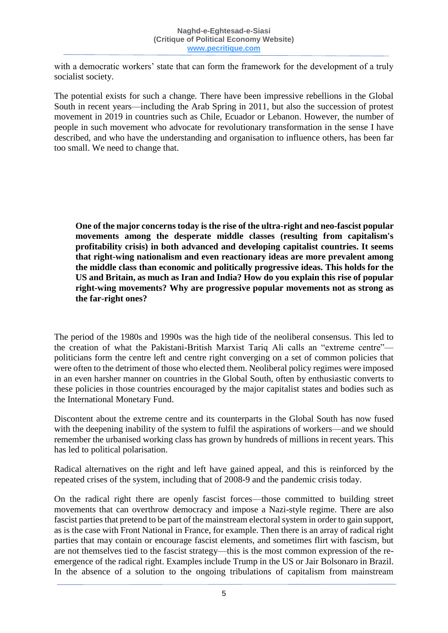with a democratic workers' state that can form the framework for the development of a truly socialist society.

The potential exists for such a change. There have been impressive rebellions in the Global South in recent years—including the Arab Spring in 2011, but also the succession of protest movement in 2019 in countries such as Chile, Ecuador or Lebanon. However, the number of people in such movement who advocate for revolutionary transformation in the sense I have described, and who have the understanding and organisation to influence others, has been far too small. We need to change that.

**One of the major concerns today is the rise of the ultra-right and neo-fascist popular movements among the desperate middle classes (resulting from capitalism's profitability crisis) in both advanced and developing capitalist countries. It seems that right-wing nationalism and even reactionary ideas are more prevalent among the middle class than economic and politically progressive ideas. This holds for the US and Britain, as much as Iran and India? How do you explain this rise of popular right-wing movements? Why are progressive popular movements not as strong as the far-right ones?**

The period of the 1980s and 1990s was the high tide of the neoliberal consensus. This led to the creation of what the Pakistani-British Marxist Tariq Ali calls an "extreme centre" politicians form the centre left and centre right converging on a set of common policies that were often to the detriment of those who elected them. Neoliberal policy regimes were imposed in an even harsher manner on countries in the Global South, often by enthusiastic converts to these policies in those countries encouraged by the major capitalist states and bodies such as the International Monetary Fund.

Discontent about the extreme centre and its counterparts in the Global South has now fused with the deepening inability of the system to fulfil the aspirations of workers—and we should remember the urbanised working class has grown by hundreds of millions in recent years. This has led to political polarisation.

Radical alternatives on the right and left have gained appeal, and this is reinforced by the repeated crises of the system, including that of 2008-9 and the pandemic crisis today.

On the radical right there are openly fascist forces—those committed to building street movements that can overthrow democracy and impose a Nazi-style regime. There are also fascist parties that pretend to be part of the mainstream electoral system in order to gain support, as is the case with Front National in France, for example. Then there is an array of radical right parties that may contain or encourage fascist elements, and sometimes flirt with fascism, but are not themselves tied to the fascist strategy—this is the most common expression of the reemergence of the radical right. Examples include Trump in the US or Jair Bolsonaro in Brazil. In the absence of a solution to the ongoing tribulations of capitalism from mainstream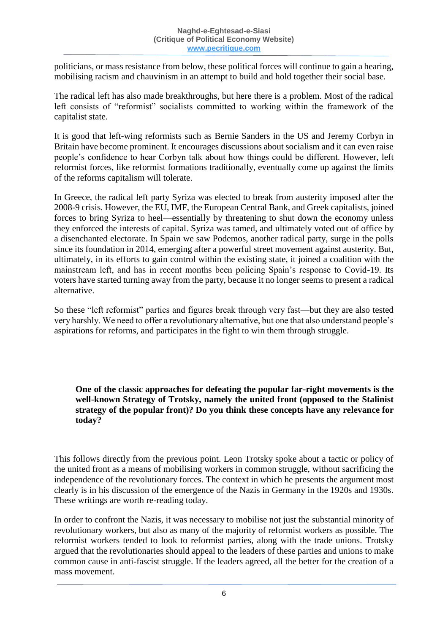politicians, or mass resistance from below, these political forces will continue to gain a hearing, mobilising racism and chauvinism in an attempt to build and hold together their social base.

The radical left has also made breakthroughs, but here there is a problem. Most of the radical left consists of "reformist" socialists committed to working within the framework of the capitalist state.

It is good that left-wing reformists such as Bernie Sanders in the US and Jeremy Corbyn in Britain have become prominent. It encourages discussions about socialism and it can even raise people's confidence to hear Corbyn talk about how things could be different. However, left reformist forces, like reformist formations traditionally, eventually come up against the limits of the reforms capitalism will tolerate.

In Greece, the radical left party Syriza was elected to break from austerity imposed after the 2008-9 crisis. However, the EU, IMF, the European Central Bank, and Greek capitalists, joined forces to bring Syriza to heel—essentially by threatening to shut down the economy unless they enforced the interests of capital. Syriza was tamed, and ultimately voted out of office by a disenchanted electorate. In Spain we saw Podemos, another radical party, surge in the polls since its foundation in 2014, emerging after a powerful street movement against austerity. But, ultimately, in its efforts to gain control within the existing state, it joined a coalition with the mainstream left, and has in recent months been policing Spain's response to Covid-19. Its voters have started turning away from the party, because it no longer seems to present a radical alternative.

So these "left reformist" parties and figures break through very fast—but they are also tested very harshly. We need to offer a revolutionary alternative, but one that also understand people's aspirations for reforms, and participates in the fight to win them through struggle.

**One of the classic approaches for defeating the popular far-right movements is the well-known Strategy of Trotsky, namely the united front (opposed to the Stalinist strategy of the popular front)? Do you think these concepts have any relevance for today?**

This follows directly from the previous point. Leon Trotsky spoke about a tactic or policy of the united front as a means of mobilising workers in common struggle, without sacrificing the independence of the revolutionary forces. The context in which he presents the argument most clearly is in his discussion of the emergence of the Nazis in Germany in the 1920s and 1930s. These writings are worth re-reading today.

In order to confront the Nazis, it was necessary to mobilise not just the substantial minority of revolutionary workers, but also as many of the majority of reformist workers as possible. The reformist workers tended to look to reformist parties, along with the trade unions. Trotsky argued that the revolutionaries should appeal to the leaders of these parties and unions to make common cause in anti-fascist struggle. If the leaders agreed, all the better for the creation of a mass movement.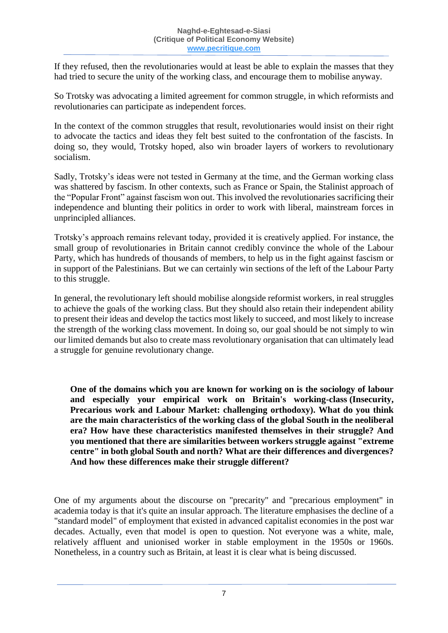If they refused, then the revolutionaries would at least be able to explain the masses that they had tried to secure the unity of the working class, and encourage them to mobilise anyway.

So Trotsky was advocating a limited agreement for common struggle, in which reformists and revolutionaries can participate as independent forces.

In the context of the common struggles that result, revolutionaries would insist on their right to advocate the tactics and ideas they felt best suited to the confrontation of the fascists. In doing so, they would, Trotsky hoped, also win broader layers of workers to revolutionary socialism.

Sadly, Trotsky's ideas were not tested in Germany at the time, and the German working class was shattered by fascism. In other contexts, such as France or Spain, the Stalinist approach of the "Popular Front" against fascism won out. This involved the revolutionaries sacrificing their independence and blunting their politics in order to work with liberal, mainstream forces in unprincipled alliances.

Trotsky's approach remains relevant today, provided it is creatively applied. For instance, the small group of revolutionaries in Britain cannot credibly convince the whole of the Labour Party, which has hundreds of thousands of members, to help us in the fight against fascism or in support of the Palestinians. But we can certainly win sections of the left of the Labour Party to this struggle.

In general, the revolutionary left should mobilise alongside reformist workers, in real struggles to achieve the goals of the working class. But they should also retain their independent ability to present their ideas and develop the tactics most likely to succeed, and most likely to increase the strength of the working class movement. In doing so, our goal should be not simply to win our limited demands but also to create mass revolutionary organisation that can ultimately lead a struggle for genuine revolutionary change.

**One of the domains which you are known for working on is the sociology of labour and especially your empirical work on Britain's working-class (Insecurity, Precarious work and Labour Market: challenging orthodoxy). What do you think are the main characteristics of the working class of the global South in the neoliberal era? How have these characteristics manifested themselves in their struggle? And you mentioned that there are similarities between workers struggle against "extreme centre" in both global South and north? What are their differences and divergences? And how these differences make their struggle different?**

One of my arguments about the discourse on "precarity" and "precarious employment" in academia today is that it's quite an insular approach. The literature emphasises the decline of a "standard model" of employment that existed in advanced capitalist economies in the post war decades. Actually, even that model is open to question. Not everyone was a white, male, relatively affluent and unionised worker in stable employment in the 1950s or 1960s. Nonetheless, in a country such as Britain, at least it is clear what is being discussed.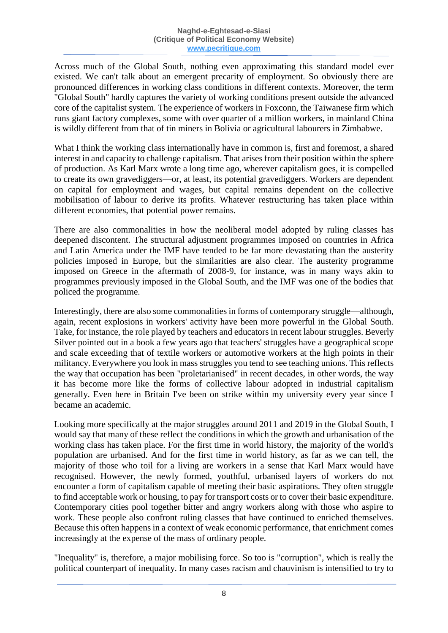Across much of the Global South, nothing even approximating this standard model ever existed. We can't talk about an emergent precarity of employment. So obviously there are pronounced differences in working class conditions in different contexts. Moreover, the term "Global South" hardly captures the variety of working conditions present outside the advanced core of the capitalist system. The experience of workers in Foxconn, the Taiwanese firm which runs giant factory complexes, some with over quarter of a million workers, in mainland China is wildly different from that of tin miners in Bolivia or agricultural labourers in Zimbabwe.

What I think the working class internationally have in common is, first and foremost, a shared interest in and capacity to challenge capitalism. That arises from their position within the sphere of production. As Karl Marx wrote a long time ago, wherever capitalism goes, it is compelled to create its own gravediggers—or, at least, its potential gravediggers. Workers are dependent on capital for employment and wages, but capital remains dependent on the collective mobilisation of labour to derive its profits. Whatever restructuring has taken place within different economies, that potential power remains.

There are also commonalities in how the neoliberal model adopted by ruling classes has deepened discontent. The structural adjustment programmes imposed on countries in Africa and Latin America under the IMF have tended to be far more devastating than the austerity policies imposed in Europe, but the similarities are also clear. The austerity programme imposed on Greece in the aftermath of 2008-9, for instance, was in many ways akin to programmes previously imposed in the Global South, and the IMF was one of the bodies that policed the programme.

Interestingly, there are also some commonalities in forms of contemporary struggle—although, again, recent explosions in workers' activity have been more powerful in the Global South. Take, for instance, the role played by teachers and educators in recent labour struggles. Beverly Silver pointed out in a book a few years ago that teachers' struggles have a geographical scope and scale exceeding that of textile workers or automotive workers at the high points in their militancy. Everywhere you look in mass struggles you tend to see teaching unions. This reflects the way that occupation has been "proletarianised" in recent decades, in other words, the way it has become more like the forms of collective labour adopted in industrial capitalism generally. Even here in Britain I've been on strike within my university every year since I became an academic.

Looking more specifically at the major struggles around 2011 and 2019 in the Global South, I would say that many of these reflect the conditions in which the growth and urbanisation of the working class has taken place. For the first time in world history, the majority of the world's population are urbanised. And for the first time in world history, as far as we can tell, the majority of those who toil for a living are workers in a sense that Karl Marx would have recognised. However, the newly formed, youthful, urbanised layers of workers do not encounter a form of capitalism capable of meeting their basic aspirations. They often struggle to find acceptable work or housing, to pay for transport costs or to cover their basic expenditure. Contemporary cities pool together bitter and angry workers along with those who aspire to work. These people also confront ruling classes that have continued to enriched themselves. Because this often happens in a context of weak economic performance, that enrichment comes increasingly at the expense of the mass of ordinary people.

"Inequality" is, therefore, a major mobilising force. So too is "corruption", which is really the political counterpart of inequality. In many cases racism and chauvinism is intensified to try to